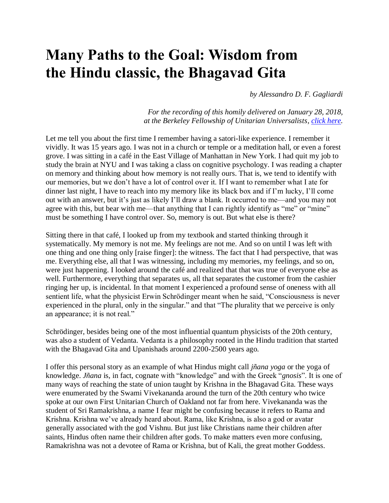## **Many Paths to the Goal: Wisdom from the Hindu classic, the Bhagavad Gita**

*by Alessandro D. F. Gagliardi*

*For the recording of this homily delivered on January 28, 2018, at the Berkeley Fellowship of Unitarian Universalists, [click here.](http://bfuu.org/images/audio/180128.mp3)*

Let me tell you about the first time I remember having a satori-like experience. I remember it vividly. It was 15 years ago. I was not in a church or temple or a meditation hall, or even a forest grove. I was sitting in a café in the East Village of Manhattan in New York. I had quit my job to study the brain at NYU and I was taking a class on cognitive psychology. I was reading a chapter on memory and thinking about how memory is not really ours. That is, we tend to identify with our memories, but we don't have a lot of control over it. If I want to remember what I ate for dinner last night, I have to reach into my memory like its black box and if I'm lucky, I'll come out with an answer, but it's just as likely I'll draw a blank. It occurred to me—and you may not agree with this, but bear with me—that anything that I can rightly identify as "me" or "mine" must be something I have control over. So, memory is out. But what else is there?

Sitting there in that café, I looked up from my textbook and started thinking through it systematically. My memory is not me. My feelings are not me. And so on until I was left with one thing and one thing only [raise finger]: the witness. The fact that I had perspective, that was me. Everything else, all that I was witnessing, including my memories, my feelings, and so on, were just happening. I looked around the café and realized that that was true of everyone else as well. Furthermore, everything that separates us, all that separates the customer from the cashier ringing her up, is incidental. In that moment I experienced a profound sense of oneness with all sentient life, what the physicist Erwin Schrödinger meant when he said, "Consciousness is never experienced in the plural, only in the singular." and that "The plurality that we perceive is only an appearance; it is not real."

Schrödinger, besides being one of the most influential quantum physicists of the 20th century, was also a student of Vedanta. Vedanta is a philosophy rooted in the Hindu tradition that started with the Bhagavad Gita and Upanishads around 2200-2500 years ago.

I offer this personal story as an example of what Hindus might call *jñana yoga* or the yoga of knowledge. *Jñana* is, in fact, cognate with "knowledge" and with the Greek "*gnosis*". It is one of many ways of reaching the state of union taught by Krishna in the Bhagavad Gita. These ways were enumerated by the Swami Vivekananda around the turn of the 20th century who twice spoke at our own First Unitarian Church of Oakland not far from here. Vivekananda was the student of Sri Ramakrishna, a name I fear might be confusing because it refers to Rama and Krishna. Krishna we've already heard about. Rama, like Krishna, is also a god or avatar generally associated with the god Vishnu. But just like Christians name their children after saints, Hindus often name their children after gods. To make matters even more confusing, Ramakrishna was not a devotee of Rama or Krishna, but of Kali, the great mother Goddess.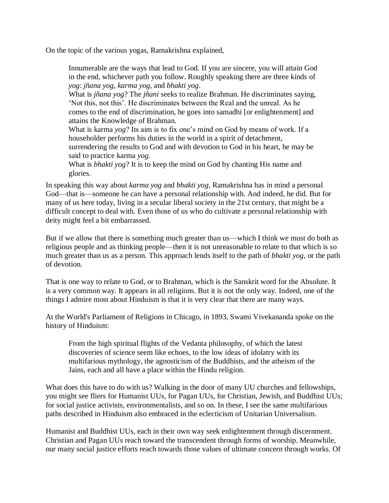On the topic of the various yogas, Ramakrishna explained,

Innumerable are the ways that lead to God. If you are sincere, you will attain God in the end, whichever path you follow. Roughly speaking there are three kinds of *yog*: *jñana yog*, *karma yog*, and *bhakti yog*.

What is *jñana yog*? The *jñani* seeks to realize Brahman. He discriminates saying, 'Not this, not this'. He discriminates between the Real and the unreal. As he comes to the end of discrimination, he goes into samadhi [or enlightenment] and attains the Knowledge of Brahman.

What is karma *yog*? Its aim is to fix one's mind on God by means of work. If a householder performs his duties in the world in a spirit of detachment,

surrendering the results to God and with devotion to God in his heart, he may be said to practice karma *yog*.

What is *bhakti yog*? It is to keep the mind on God by chanting His name and glories.

In speaking this way about *karma yog* and *bhakti yog*, Ramakrishna has in mind a personal God—that is—someone he can have a personal relationship with. And indeed, he did. But for many of us here today, living in a secular liberal society in the 21st century, that might be a difficult concept to deal with. Even those of us who do cultivate a personal relationship with deity might feel a bit embarrassed.

But if we allow that there is something much greater than us—which I think we must do both as religious people and as thinking people—then it is not unreasonable to relate to that which is so much greater than us as a person. This approach lends itself to the path of *bhakti yog*, or the path of devotion.

That is one way to relate to God, or to Brahman, which is the Sanskrit word for the Absolute. It is a very common way. It appears in all religions. But it is not the only way. Indeed, one of the things I admire most about Hinduism is that it is very clear that there are many ways.

At the World's Parliament of Religions in Chicago, in 1893, Swami Vivekananda spoke on the history of Hinduism:

From the high spiritual flights of the Vedanta philosophy, of which the latest discoveries of science seem like echoes, to the low ideas of idolatry with its multifarious mythology, the agnosticism of the Buddhists, and the atheism of the Jains, each and all have a place within the Hindu religion.

What does this have to do with us? Walking in the door of many UU churches and fellowships, you might see fliers for Humanist UUs, for Pagan UUs, for Christian, Jewish, and Buddhist UUs; for social justice activists, environmentalists, and so on. In these, I see the same multifarious paths described in Hinduism also embraced in the eclecticism of Unitarian Universalism.

Humanist and Buddhist UUs, each in their own way seek enlightenment through discernment. Christian and Pagan UUs reach toward the transcendent through forms of worship. Meanwhile, our many social justice efforts reach towards those values of ultimate concern through works. Of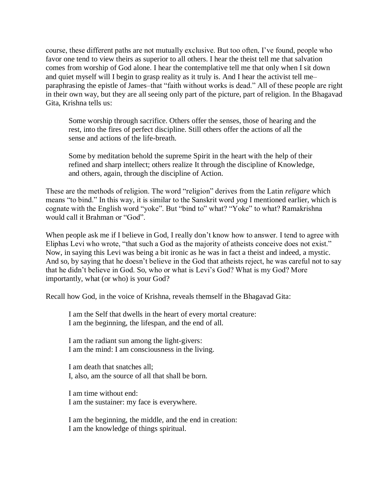course, these different paths are not mutually exclusive. But too often, I've found, people who favor one tend to view theirs as superior to all others. I hear the theist tell me that salvation comes from worship of God alone. I hear the contemplative tell me that only when I sit down and quiet myself will I begin to grasp reality as it truly is. And I hear the activist tell me– paraphrasing the epistle of James–that "faith without works is dead." All of these people are right in their own way, but they are all seeing only part of the picture, part of religion. In the Bhagavad Gita, Krishna tells us:

Some worship through sacrifice. Others offer the senses, those of hearing and the rest, into the fires of perfect discipline. Still others offer the actions of all the sense and actions of the life-breath.

Some by meditation behold the supreme Spirit in the heart with the help of their refined and sharp intellect; others realize It through the discipline of Knowledge, and others, again, through the discipline of Action.

These are the methods of religion. The word "religion" derives from the Latin *religare* which means "to bind." In this way, it is similar to the Sanskrit word *yog* I mentioned earlier, which is cognate with the English word "yoke". But "bind to" what? "Yoke" to what? Ramakrishna would call it Brahman or "God".

When people ask me if I believe in God, I really don't know how to answer. I tend to agree with Eliphas Levi who wrote, "that such a God as the majority of atheists conceive does not exist." Now, in saying this Levi was being a bit ironic as he was in fact a theist and indeed, a mystic. And so, by saying that he doesn't believe in the God that atheists reject, he was careful not to say that he didn't believe in God. So, who or what is Levi's God? What is my God? More importantly, what (or who) is your God?

Recall how God, in the voice of Krishna, reveals themself in the Bhagavad Gita:

I am the Self that dwells in the heart of every mortal creature: I am the beginning, the lifespan, and the end of all.

I am the radiant sun among the light-givers: I am the mind: I am consciousness in the living.

I am death that snatches all; I, also, am the source of all that shall be born.

I am time without end: I am the sustainer: my face is everywhere.

I am the beginning, the middle, and the end in creation: I am the knowledge of things spiritual.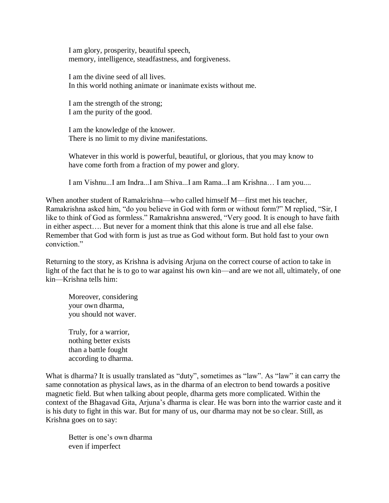I am glory, prosperity, beautiful speech, memory, intelligence, steadfastness, and forgiveness.

I am the divine seed of all lives. In this world nothing animate or inanimate exists without me.

I am the strength of the strong; I am the purity of the good.

I am the knowledge of the knower. There is no limit to my divine manifestations.

Whatever in this world is powerful, beautiful, or glorious, that you may know to have come forth from a fraction of my power and glory.

I am Vishnu...I am Indra...I am Shiva...I am Rama...I am Krishna… I am you....

When another student of Ramakrishna—who called himself M—first met his teacher, Ramakrishna asked him, "do you believe in God with form or without form?" M replied, "Sir, I like to think of God as formless." Ramakrishna answered, "Very good. It is enough to have faith in either aspect…. But never for a moment think that this alone is true and all else false. Remember that God with form is just as true as God without form. But hold fast to your own conviction."

Returning to the story, as Krishna is advising Arjuna on the correct course of action to take in light of the fact that he is to go to war against his own kin—and are we not all, ultimately, of one kin—Krishna tells him:

Moreover, considering your own dharma, you should not waver.

Truly, for a warrior, nothing better exists than a battle fought according to dharma.

What is dharma? It is usually translated as "duty", sometimes as "law". As "law" it can carry the same connotation as physical laws, as in the dharma of an electron to bend towards a positive magnetic field. But when talking about people, dharma gets more complicated. Within the context of the Bhagavad Gita, Arjuna's dharma is clear. He was born into the warrior caste and it is his duty to fight in this war. But for many of us, our dharma may not be so clear. Still, as Krishna goes on to say:

Better is one's own dharma even if imperfect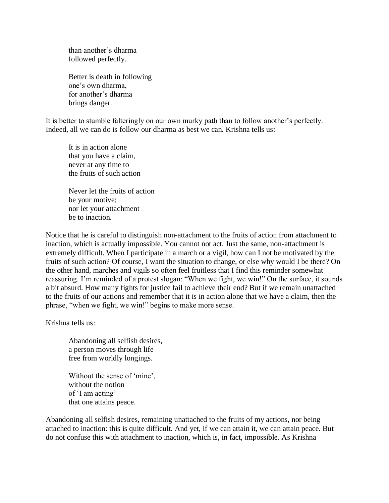than another's dharma followed perfectly.

Better is death in following one's own dharma, for another's dharma brings danger.

It is better to stumble falteringly on our own murky path than to follow another's perfectly. Indeed, all we can do is follow our dharma as best we can. Krishna tells us:

It is in action alone that you have a claim, never at any time to the fruits of such action

Never let the fruits of action be your motive; nor let your attachment be to inaction.

Notice that he is careful to distinguish non-attachment to the fruits of action from attachment to inaction, which is actually impossible. You cannot not act. Just the same, non-attachment is extremely difficult. When I participate in a march or a vigil, how can I not be motivated by the fruits of such action? Of course, I want the situation to change, or else why would I be there? On the other hand, marches and vigils so often feel fruitless that I find this reminder somewhat reassuring. I'm reminded of a protest slogan: "When we fight, we win!" On the surface, it sounds a bit absurd. How many fights for justice fail to achieve their end? But if we remain unattached to the fruits of our actions and remember that it is in action alone that we have a claim, then the phrase, "when we fight, we win!" begins to make more sense.

Krishna tells us:

Abandoning all selfish desires, a person moves through life free from worldly longings.

Without the sense of 'mine', without the notion of 'I am acting' that one attains peace.

Abandoning all selfish desires, remaining unattached to the fruits of my actions, nor being attached to inaction: this is quite difficult. And yet, if we can attain it, we can attain peace. But do not confuse this with attachment to inaction, which is, in fact, impossible. As Krishna